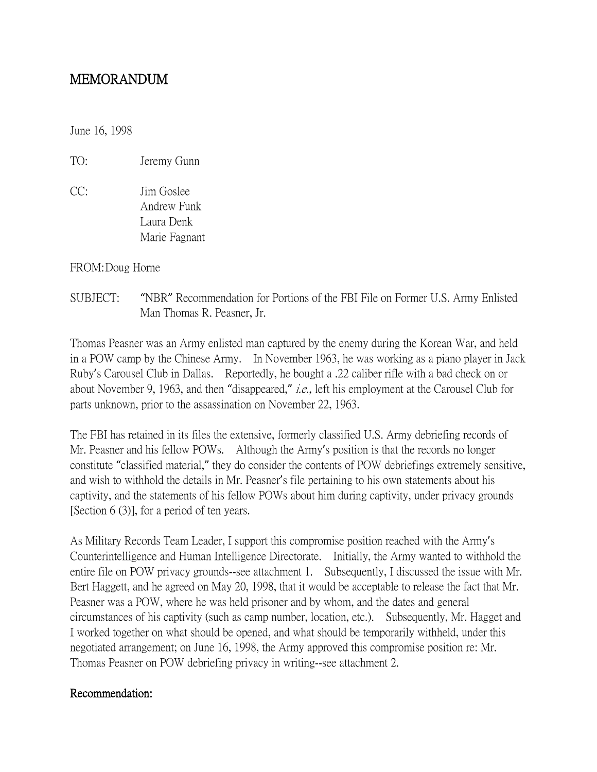## MEMORANDUM

June 16, 1998

TO: Jeremy Gunn

CC: Jim Goslee Andrew Funk Laura Denk Marie Fagnant

FROM:Doug Horne

SUBJECT: "NBR" Recommendation for Portions of the FBI File on Former U.S. Army Enlisted Man Thomas R. Peasner, Jr.

Thomas Peasner was an Army enlisted man captured by the enemy during the Korean War, and held in a POW camp by the Chinese Army. In November 1963, he was working as a piano player in Jack Ruby's Carousel Club in Dallas. Reportedly, he bought a .22 caliber rifle with a bad check on or about November 9, 1963, and then "disappeared," i.e., left his employment at the Carousel Club for parts unknown, prior to the assassination on November 22, 1963.

The FBI has retained in its files the extensive, formerly classified U.S. Army debriefing records of Mr. Peasner and his fellow POWs. Although the Army's position is that the records no longer constitute "classified material," they do consider the contents of POW debriefings extremely sensitive, and wish to withhold the details in Mr. Peasner's file pertaining to his own statements about his captivity, and the statements of his fellow POWs about him during captivity, under privacy grounds [Section 6 (3)], for a period of ten years.

As Military Records Team Leader, I support this compromise position reached with the Army's Counterintelligence and Human Intelligence Directorate. Initially, the Army wanted to withhold the entire file on POW privacy grounds--see attachment 1. Subsequently, I discussed the issue with Mr. Bert Haggett, and he agreed on May 20, 1998, that it would be acceptable to release the fact that Mr. Peasner was a POW, where he was held prisoner and by whom, and the dates and general circumstances of his captivity (such as camp number, location, etc.). Subsequently, Mr. Hagget and I worked together on what should be opened, and what should be temporarily withheld, under this negotiated arrangement; on June 16, 1998, the Army approved this compromise position re: Mr. Thomas Peasner on POW debriefing privacy in writing--see attachment 2.

## Recommendation: